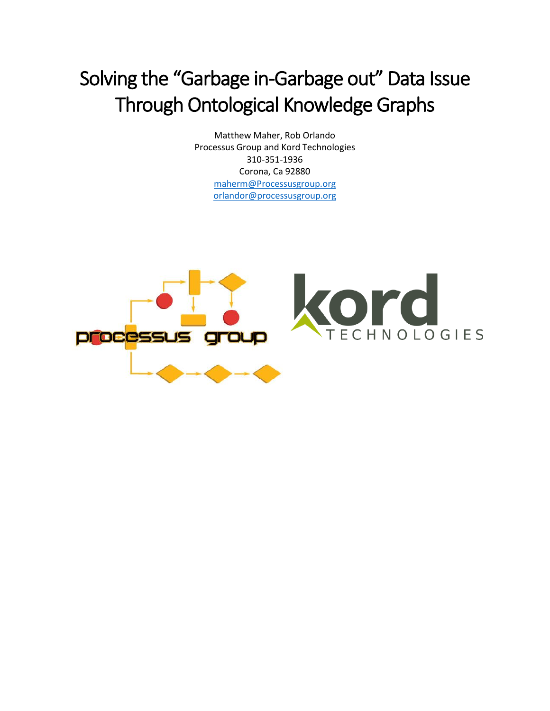## Solving the "Garbage in-Garbage out" Data Issue Through Ontological Knowledge Graphs

Matthew Maher, Rob Orlando Processus Group and Kord Technologies 310-351-1936 Corona, Ca 92880 [maherm@Processusgroup.org](mailto:maherm@Processusgroup.org) orlandor@processusgroup.org

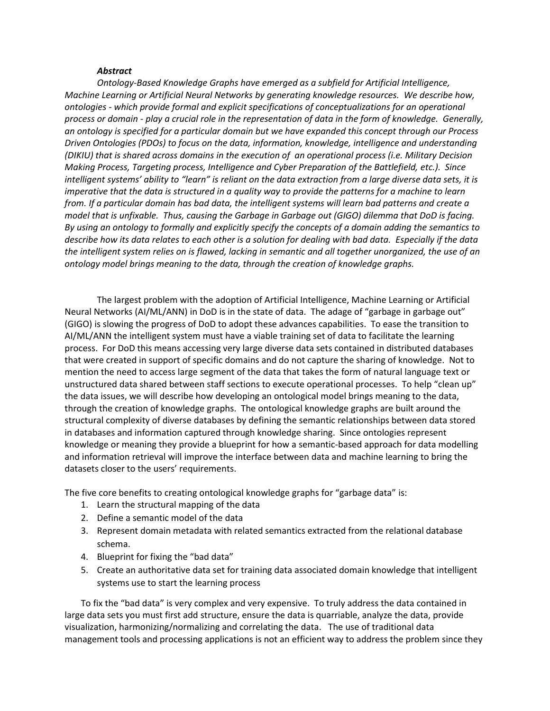## *Abstract*

*Ontology-Based Knowledge Graphs have emerged as a subfield for Artificial Intelligence, Machine Learning or Artificial Neural Networks by generating knowledge resources. We describe how, ontologies - which provide formal and explicit specifications of conceptualizations for an operational process or domain - play a crucial role in the representation of data in the form of knowledge. Generally, an ontology is specified for a particular domain but we have expanded this concept through our Process Driven Ontologies (PDOs) to focus on the data, information, knowledge, intelligence and understanding (DIKIU) that is shared across domains in the execution of an operational process (i.e. Military Decision Making Process, Targeting process, Intelligence and Cyber Preparation of the Battlefield, etc.). Since intelligent systems' ability to "learn" is reliant on the data extraction from a large diverse data sets, it is imperative that the data is structured in a quality way to provide the patterns for a machine to learn from. If a particular domain has bad data, the intelligent systems will learn bad patterns and create a model that is unfixable. Thus, causing the Garbage in Garbage out (GIGO) dilemma that DoD is facing. By using an ontology to formally and explicitly specify the concepts of a domain adding the semantics to describe how its data relates to each other is a solution for dealing with bad data. Especially if the data the intelligent system relies on is flawed, lacking in semantic and all together unorganized, the use of an ontology model brings meaning to the data, through the creation of knowledge graphs.* 

The largest problem with the adoption of Artificial Intelligence, Machine Learning or Artificial Neural Networks (AI/ML/ANN) in DoD is in the state of data. The adage of "garbage in garbage out" (GIGO) is slowing the progress of DoD to adopt these advances capabilities. To ease the transition to AI/ML/ANN the intelligent system must have a viable training set of data to facilitate the learning process. For DoD this means accessing very large diverse data sets contained in distributed databases that were created in support of specific domains and do not capture the sharing of knowledge. Not to mention the need to access large segment of the data that takes the form of natural language text or unstructured data shared between staff sections to execute operational processes. To help "clean up" the data issues, we will describe how developing an ontological model brings meaning to the data, through the creation of knowledge graphs. The ontological knowledge graphs are built around the structural complexity of diverse databases by defining the semantic relationships between data stored in databases and information captured through knowledge sharing. Since ontologies represent knowledge or meaning they provide a blueprint for how a semantic-based approach for data modelling and information retrieval will improve the interface between data and machine learning to bring the datasets closer to the users' requirements.

The five core benefits to creating ontological knowledge graphs for "garbage data" is:

- 1. Learn the structural mapping of the data
- 2. Define a semantic model of the data
- 3. Represent domain metadata with related semantics extracted from the relational database schema.
- 4. Blueprint for fixing the "bad data"
- 5. Create an authoritative data set for training data associated domain knowledge that intelligent systems use to start the learning process

To fix the "bad data" is very complex and very expensive. To truly address the data contained in large data sets you must first add structure, ensure the data is quarriable, analyze the data, provide visualization, harmonizing/normalizing and correlating the data. The use of traditional data management tools and processing applications is not an efficient way to address the problem since they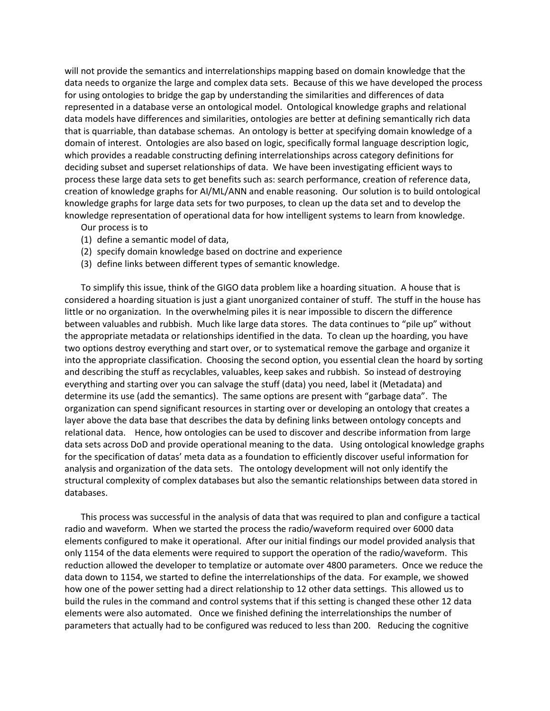will not provide the semantics and interrelationships mapping based on domain knowledge that the data needs to organize the large and complex data sets. Because of this we have developed the process for using ontologies to bridge the gap by understanding the similarities and differences of data represented in a database verse an ontological model. Ontological knowledge graphs and relational data models have differences and similarities, ontologies are better at defining semantically rich data that is quarriable, than database schemas. An ontology is better at specifying domain knowledge of a domain of interest. Ontologies are also based on logic, specifically formal language description logic, which provides a readable constructing defining interrelationships across category definitions for deciding subset and superset relationships of data. We have been investigating efficient ways to process these large data sets to get benefits such as: search performance, creation of reference data, creation of knowledge graphs for AI/ML/ANN and enable reasoning. Our solution is to build ontological knowledge graphs for large data sets for two purposes, to clean up the data set and to develop the knowledge representation of operational data for how intelligent systems to learn from knowledge.

Our process is to

- (1) define a semantic model of data,
- (2) specify domain knowledge based on doctrine and experience
- (3) define links between different types of semantic knowledge.

To simplify this issue, think of the GIGO data problem like a hoarding situation. A house that is considered a hoarding situation is just a giant unorganized container of stuff. The stuff in the house has little or no organization. In the overwhelming piles it is near impossible to discern the difference between valuables and rubbish. Much like large data stores. The data continues to "pile up" without the appropriate metadata or relationships identified in the data. To clean up the hoarding, you have two options destroy everything and start over, or to systematical remove the garbage and organize it into the appropriate classification. Choosing the second option, you essential clean the hoard by sorting and describing the stuff as recyclables, valuables, keep sakes and rubbish. So instead of destroying everything and starting over you can salvage the stuff (data) you need, label it (Metadata) and determine its use (add the semantics). The same options are present with "garbage data". The organization can spend significant resources in starting over or developing an ontology that creates a layer above the data base that describes the data by defining links between ontology concepts and relational data. Hence, how ontologies can be used to discover and describe information from large data sets across DoD and provide operational meaning to the data. Using ontological knowledge graphs for the specification of datas' meta data as a foundation to efficiently discover useful information for analysis and organization of the data sets. The ontology development will not only identify the structural complexity of complex databases but also the semantic relationships between data stored in databases.

This process was successful in the analysis of data that was required to plan and configure a tactical radio and waveform. When we started the process the radio/waveform required over 6000 data elements configured to make it operational. After our initial findings our model provided analysis that only 1154 of the data elements were required to support the operation of the radio/waveform. This reduction allowed the developer to templatize or automate over 4800 parameters. Once we reduce the data down to 1154, we started to define the interrelationships of the data. For example, we showed how one of the power setting had a direct relationship to 12 other data settings. This allowed us to build the rules in the command and control systems that if this setting is changed these other 12 data elements were also automated. Once we finished defining the interrelationships the number of parameters that actually had to be configured was reduced to less than 200. Reducing the cognitive